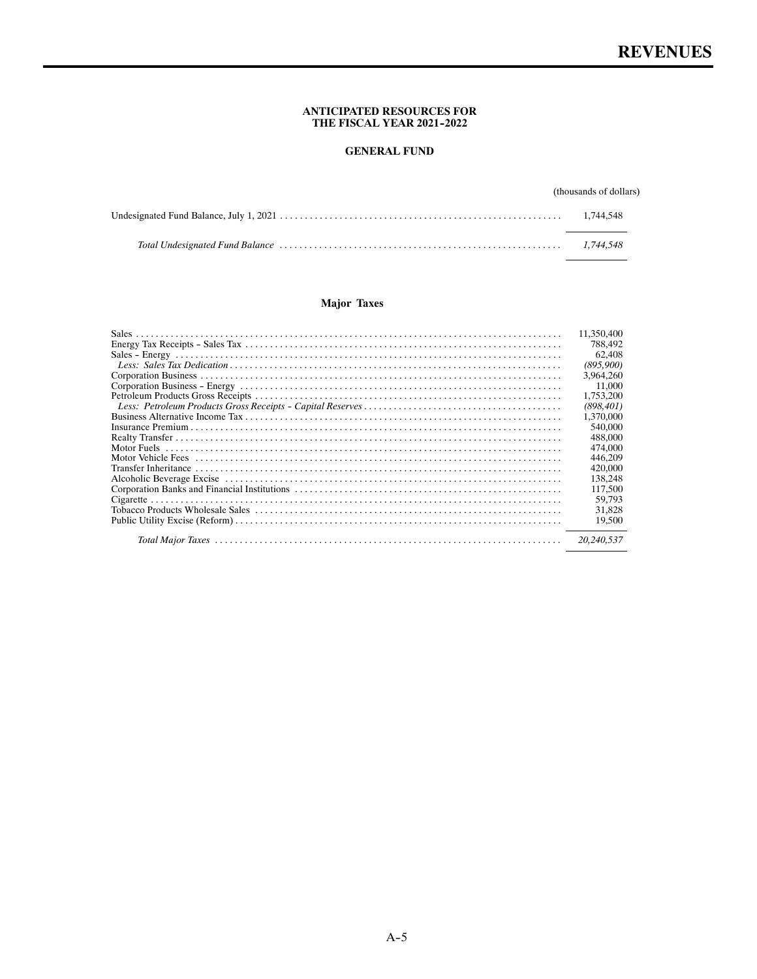#### **ANTICIPATED RESOURCES FOR THE FISCAL YEAR 2021--2022**

# **GENERAL FUND**

# (thousands of dollars)

# **Major Taxes**

| 11.350,400<br>788,492<br>62,408<br>(895,900)<br>3.964.260<br>11.000<br>1,753,200<br>(898, 401)<br>1.370,000<br>540,000<br>488,000<br>474,000<br>446,209<br>420,000 |
|--------------------------------------------------------------------------------------------------------------------------------------------------------------------|
|                                                                                                                                                                    |
|                                                                                                                                                                    |
|                                                                                                                                                                    |
| 138,248                                                                                                                                                            |
| 117,500                                                                                                                                                            |
| 59,793                                                                                                                                                             |
| 31,828                                                                                                                                                             |
| 19,500                                                                                                                                                             |
| 20,240,537                                                                                                                                                         |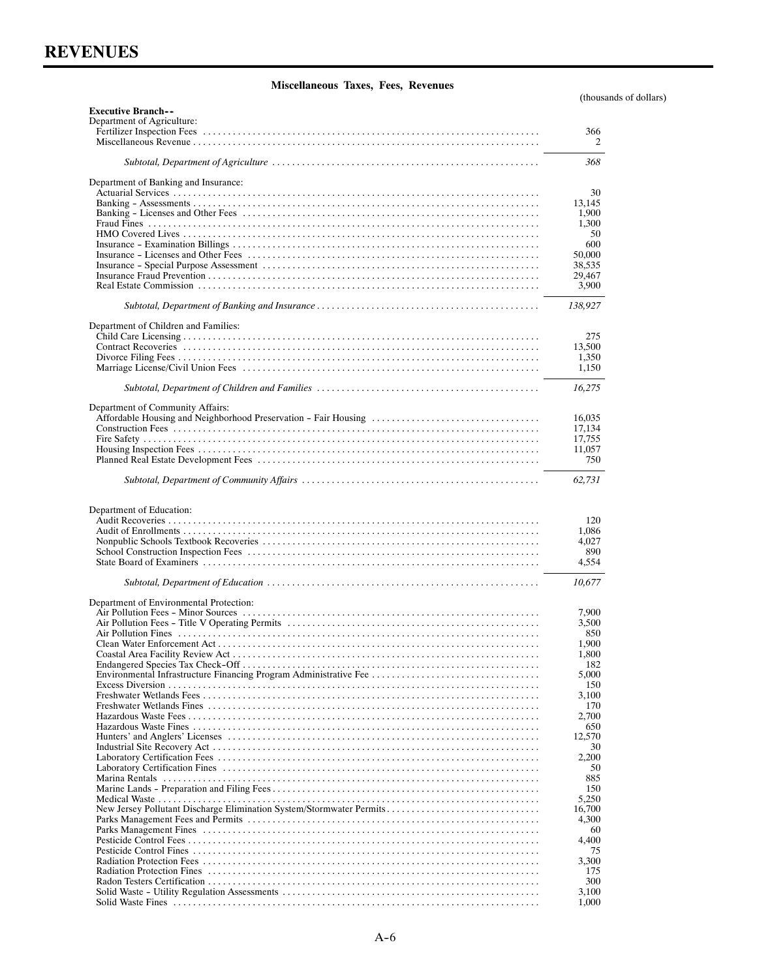(thousands of dollars)

| <b>Executive Branch--</b>                                            |                 |
|----------------------------------------------------------------------|-----------------|
| Department of Agriculture:                                           |                 |
|                                                                      | 366             |
|                                                                      | 2               |
|                                                                      | 368             |
| Department of Banking and Insurance:                                 |                 |
|                                                                      | 30              |
|                                                                      | 13,145          |
|                                                                      | 1,900           |
|                                                                      | 1,300<br>50     |
|                                                                      | 600             |
|                                                                      | 50,000          |
|                                                                      | 38,535          |
|                                                                      | 29,467          |
|                                                                      | 3,900           |
|                                                                      | 138,927         |
| Department of Children and Families:                                 |                 |
|                                                                      | 275             |
|                                                                      | 13,500<br>1,350 |
|                                                                      | 1,150           |
|                                                                      |                 |
|                                                                      | 16,275          |
| Department of Community Affairs:                                     |                 |
| Affordable Housing and Neighborhood Preservation - Fair Housing      | 16,035          |
|                                                                      | 17,134          |
|                                                                      | 17,755          |
|                                                                      | 11,057<br>750   |
|                                                                      |                 |
|                                                                      | 62,731          |
|                                                                      |                 |
| Department of Education:                                             |                 |
|                                                                      | 120             |
|                                                                      | 1,086<br>4,027  |
|                                                                      | 890             |
|                                                                      | 4,554           |
|                                                                      | 10,677          |
| Department of Environmental Protection:                              |                 |
|                                                                      | 7,900           |
|                                                                      | 3,500           |
|                                                                      | 850             |
|                                                                      | 1,900           |
|                                                                      | 1,800           |
|                                                                      | 182             |
|                                                                      | 5,000<br>150    |
|                                                                      | 3,100           |
|                                                                      | 170             |
|                                                                      | 2,700           |
|                                                                      | 650             |
|                                                                      | 12,570          |
|                                                                      | 30              |
|                                                                      | 2,200<br>50     |
|                                                                      | 885             |
|                                                                      | 150             |
|                                                                      | 5,250           |
| New Jersey Pollutant Discharge Elimination System/Stormwater Permits | 16,700          |
|                                                                      | 4,300           |
|                                                                      | 60<br>4,400     |
|                                                                      | 75              |
|                                                                      | 3,300           |
|                                                                      | 175             |
|                                                                      | 300             |
|                                                                      | 3,100           |
|                                                                      | 1,000           |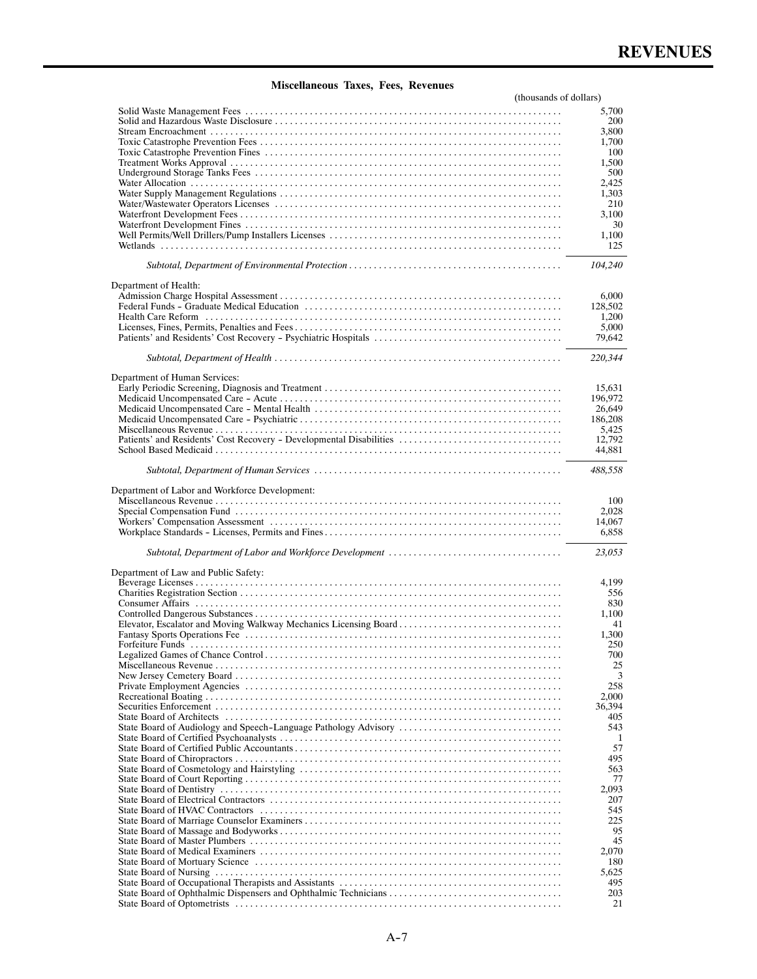| (thousands of dollars)                                           |              |
|------------------------------------------------------------------|--------------|
|                                                                  | 5,700        |
|                                                                  | 200          |
|                                                                  | 3,800        |
|                                                                  | 1,700        |
|                                                                  | 100          |
|                                                                  | 1,500        |
|                                                                  | 500          |
|                                                                  | 2,425        |
|                                                                  | 1,303        |
|                                                                  | 210<br>3,100 |
|                                                                  | 30           |
|                                                                  | 1,100        |
|                                                                  | 125          |
|                                                                  |              |
|                                                                  | 104,240      |
| Department of Health:                                            |              |
|                                                                  | 6,000        |
|                                                                  | 128,502      |
|                                                                  | 1,200        |
|                                                                  | 5,000        |
|                                                                  | 79,642       |
|                                                                  | 220,344      |
|                                                                  |              |
| Department of Human Services:                                    |              |
|                                                                  | 15,631       |
|                                                                  | 196,972      |
|                                                                  | 26,649       |
|                                                                  | 186,208      |
|                                                                  | 5,425        |
|                                                                  | 12,792       |
|                                                                  | 44,881       |
|                                                                  | 488,558      |
|                                                                  |              |
| Department of Labor and Workforce Development:                   |              |
|                                                                  | 100          |
|                                                                  | 2.028        |
|                                                                  | 14,067       |
|                                                                  | 6,858        |
|                                                                  | 23,053       |
| Department of Law and Public Safety:                             |              |
|                                                                  | 4,199        |
|                                                                  | 556          |
|                                                                  | 830          |
|                                                                  | 1,100        |
| Elevator, Escalator and Moving Walkway Mechanics Licensing Board | 41           |
|                                                                  | 1,300        |
|                                                                  | 250          |
|                                                                  | 700<br>25    |
|                                                                  | 3            |
|                                                                  | 258          |
|                                                                  | 2.000        |
|                                                                  | 36,394       |
|                                                                  | 405          |
| State Board of Audiology and Speech-Language Pathology Advisory  | 543          |
|                                                                  | 1            |
|                                                                  | 57           |
|                                                                  | 495          |
|                                                                  | 563          |
|                                                                  | 77           |
|                                                                  | 2,093        |
|                                                                  | 207<br>545   |
|                                                                  | 225          |
|                                                                  | 95           |
|                                                                  | 45           |
|                                                                  | 2,070        |
|                                                                  | 180          |
|                                                                  | 5,625        |
|                                                                  | 495          |
|                                                                  | 203          |
|                                                                  | 21           |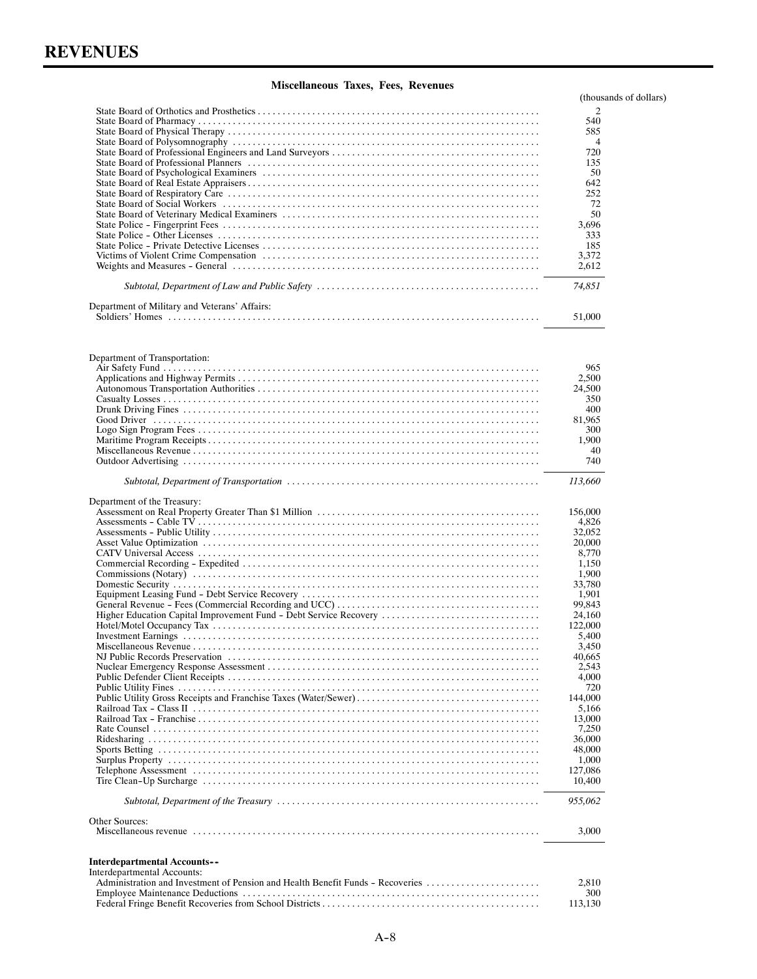|                                                                                | (thousands of dollars) |
|--------------------------------------------------------------------------------|------------------------|
|                                                                                | 2                      |
|                                                                                | 540                    |
|                                                                                | 585<br>$\overline{4}$  |
|                                                                                | 720                    |
|                                                                                | 135                    |
|                                                                                | 50                     |
|                                                                                | 642                    |
|                                                                                | 252                    |
|                                                                                | 72<br>50               |
|                                                                                | 3,696                  |
|                                                                                | 333                    |
|                                                                                | 185                    |
|                                                                                | 3,372                  |
|                                                                                | 2,612                  |
|                                                                                | 74,851                 |
| Department of Military and Veterans' Affairs:                                  |                        |
|                                                                                | 51,000                 |
|                                                                                |                        |
| Department of Transportation:                                                  | 965                    |
|                                                                                | 2,500                  |
|                                                                                | 24.500                 |
|                                                                                | 350                    |
|                                                                                | 400<br>81,965          |
|                                                                                | 300                    |
|                                                                                | 1,900                  |
|                                                                                | 40                     |
|                                                                                | 740                    |
|                                                                                | 113,660                |
| Department of the Treasury:                                                    |                        |
|                                                                                | 156,000                |
|                                                                                | 4,826<br>32,052        |
|                                                                                | 20,000                 |
|                                                                                | 8,770                  |
|                                                                                | 1,150                  |
|                                                                                | 1,900                  |
|                                                                                | 33,780                 |
|                                                                                | 1,901<br>99,843        |
| Higher Education Capital Improvement Fund - Debt Service Recovery              | 24,160                 |
|                                                                                | 122,000                |
|                                                                                | 5,400                  |
|                                                                                | 3,450                  |
|                                                                                | 40,665                 |
|                                                                                | 2,543                  |
|                                                                                | 4,000                  |
|                                                                                | 720<br>144,000         |
|                                                                                | 5,166                  |
|                                                                                | 13,000                 |
|                                                                                | 7,250                  |
|                                                                                | 36,000                 |
|                                                                                | 48,000                 |
|                                                                                | 1,000                  |
|                                                                                | 127,086<br>10,400      |
|                                                                                | 955,062                |
| Other Sources:                                                                 |                        |
|                                                                                | 3,000                  |
| <b>Interdepartmental Accounts--</b>                                            |                        |
| Interdepartmental Accounts:                                                    |                        |
| Administration and Investment of Pension and Health Benefit Funds - Recoveries | 2,810<br>300           |
|                                                                                | 113,130                |
|                                                                                |                        |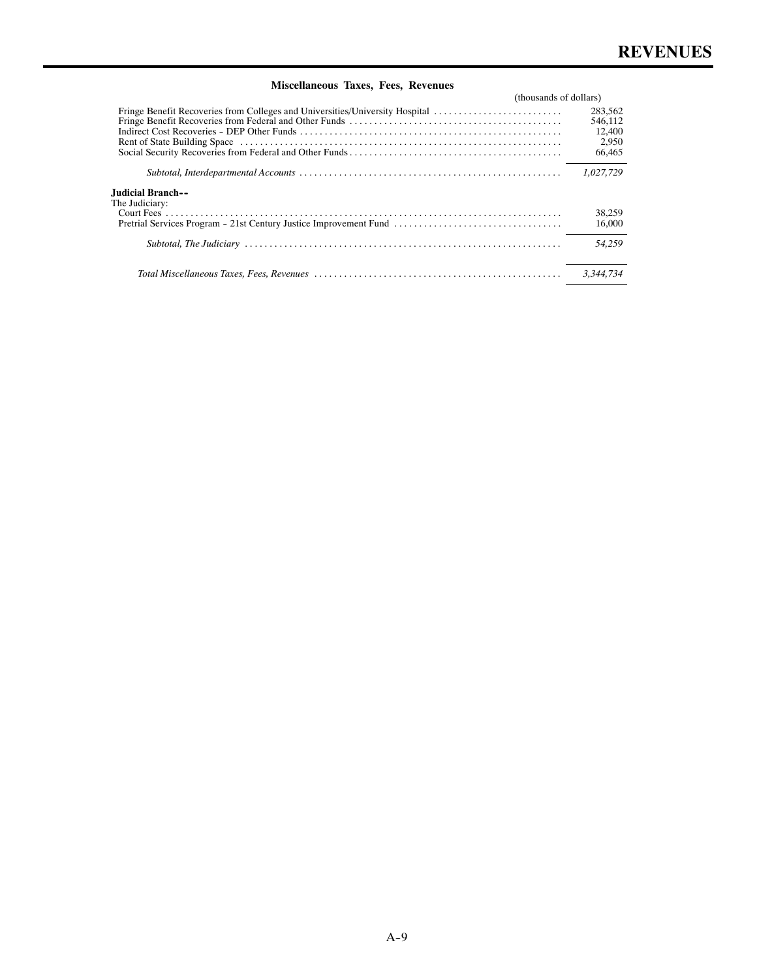|                                                                              | (thousands of dollars) |  |
|------------------------------------------------------------------------------|------------------------|--|
| Fringe Benefit Recoveries from Colleges and Universities/University Hospital | 283,562                |  |
|                                                                              | 546.112                |  |
|                                                                              | 12,400                 |  |
|                                                                              | 2,950                  |  |
|                                                                              | 66,465                 |  |
|                                                                              | 1,027,729              |  |
| --Iudicial Branch.<br>The Judiciary:                                         |                        |  |
|                                                                              | 38,259                 |  |
| Pretrial Services Program - 21st Century Justice Improvement Fund            | 16,000                 |  |
|                                                                              | 54.259                 |  |
|                                                                              | 3.344.734              |  |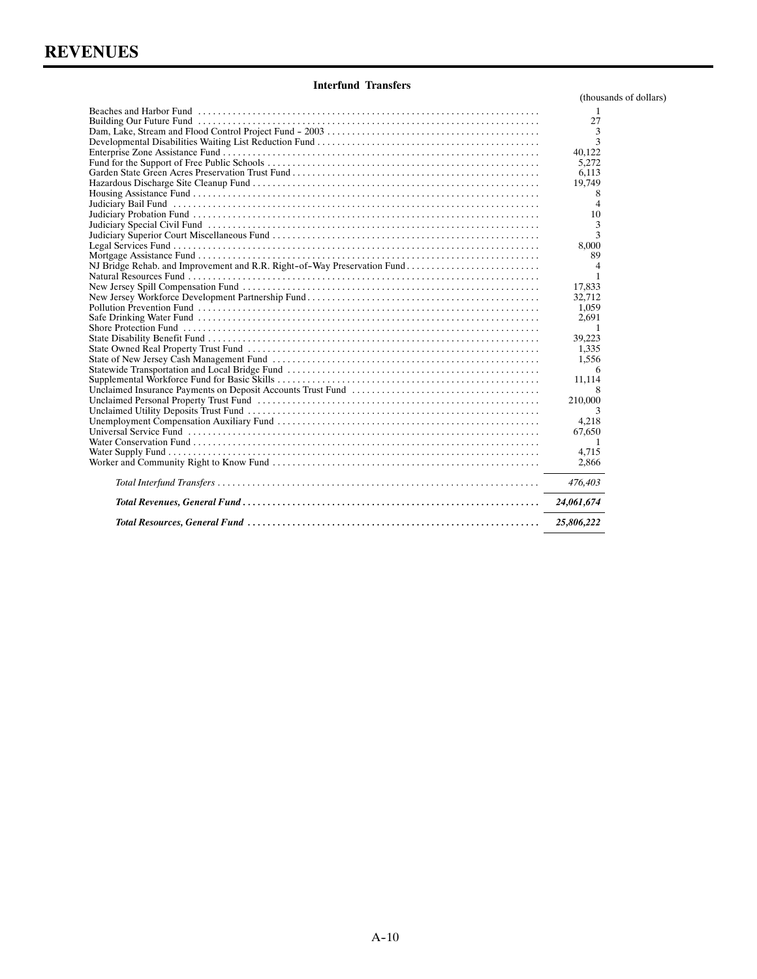## **Interfund Transfers**

(thousands of dollars)

|                                                                          | -1<br>27<br>3  |
|--------------------------------------------------------------------------|----------------|
|                                                                          |                |
|                                                                          |                |
|                                                                          |                |
|                                                                          | 3              |
|                                                                          | 40,122         |
|                                                                          | 5,272          |
|                                                                          | 6.113          |
|                                                                          | 19.749         |
|                                                                          | 8              |
|                                                                          | 4              |
|                                                                          | 10             |
|                                                                          | 3              |
|                                                                          | 3              |
|                                                                          | 8.000          |
|                                                                          | 89             |
| NJ Bridge Rehab. and Improvement and R.R. Right-of-Way Preservation Fund | 4              |
|                                                                          | 1              |
|                                                                          | 17,833         |
|                                                                          | 32.712         |
|                                                                          | 1,059          |
|                                                                          | 2,691          |
|                                                                          | $\overline{1}$ |
|                                                                          | 39,223         |
|                                                                          | 1,335          |
|                                                                          | 1.556          |
|                                                                          | 6              |
|                                                                          | 11,114         |
|                                                                          | 8              |
|                                                                          | 210,000        |
|                                                                          | 3              |
|                                                                          | 4,218          |
|                                                                          | 67,650         |
|                                                                          | $\overline{1}$ |
|                                                                          | 4.715          |
|                                                                          |                |
|                                                                          | 2,866          |
|                                                                          | 476,403        |
|                                                                          | 24,061,674     |
|                                                                          | 25,806,222     |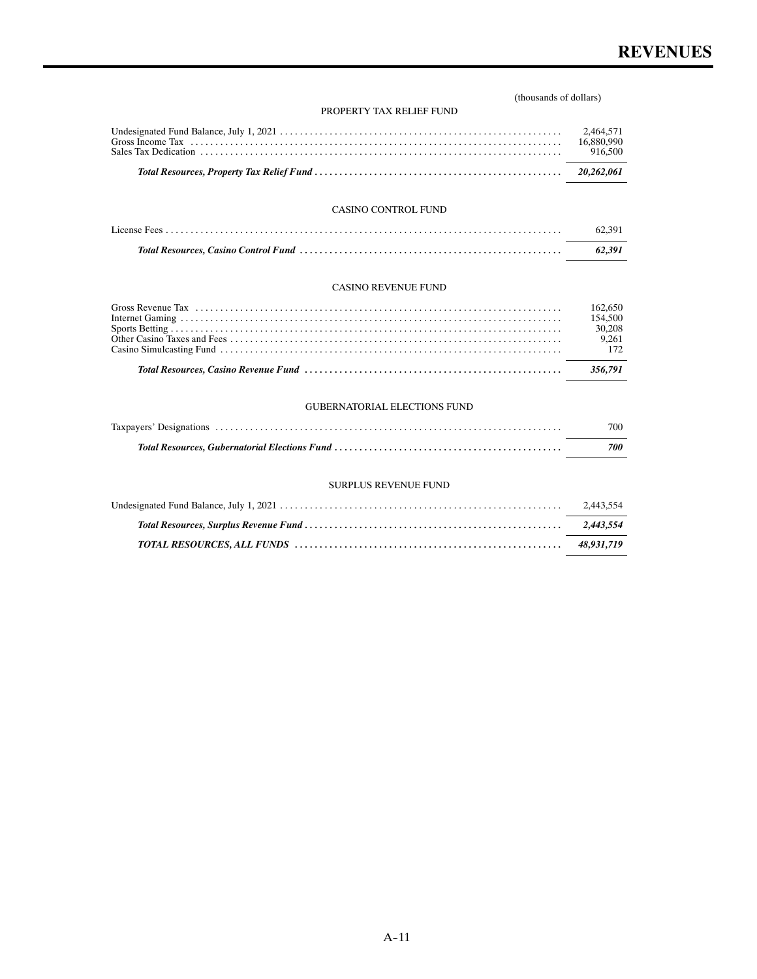### (thousands of dollars)

#### PROPERTY TAX RELIEF FUND

#### CASINO CONTROL FUND

| 62.391 |
|--------|
| 62.391 |

### CASINO REVENUE FUND

|                                                                                                                                                                                                                               | 154,500<br>30,208<br>9.261 |
|-------------------------------------------------------------------------------------------------------------------------------------------------------------------------------------------------------------------------------|----------------------------|
| Total Resources. Casino Revenue Fund (a) material contracts and the control of the state of the state of the state of the state of the state of the state of the state of the state of the state of the state of the state of |                            |

### GUBERNATORIAL ELECTIONS FUND

| 700 |
|-----|
| 700 |

### SURPLUS REVENUE FUND

| 2.443.554 |
|-----------|
|           |
|           |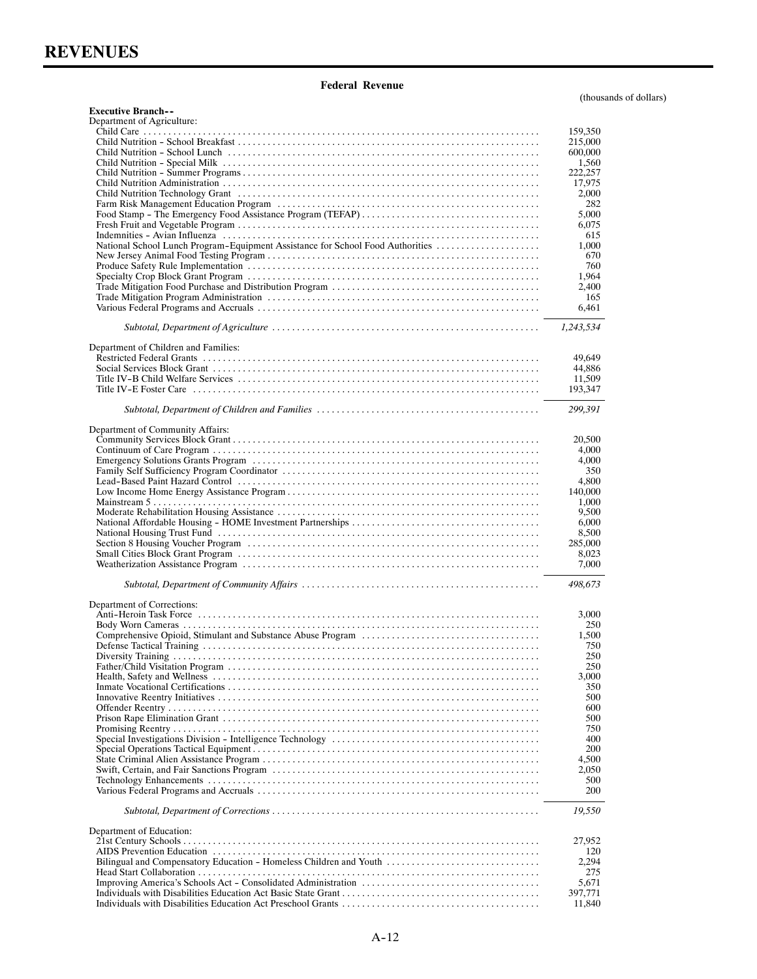**Executive Branch--**

## **Federal Revenue**

(thousands of dollars)

| Department of Agriculture:                                                     |                    |
|--------------------------------------------------------------------------------|--------------------|
|                                                                                | 159,350<br>215,000 |
|                                                                                | 600,000            |
|                                                                                | 1,560              |
|                                                                                | 222,257            |
|                                                                                | 17,975             |
|                                                                                | 2,000              |
|                                                                                | 282<br>5,000       |
|                                                                                | 6,075              |
|                                                                                | 615                |
| National School Lunch Program-Equipment Assistance for School Food Authorities | 1,000              |
|                                                                                | 670                |
|                                                                                | 760<br>1.964       |
|                                                                                | 2,400              |
|                                                                                | 165                |
|                                                                                | 6,461              |
|                                                                                | 1,243,534          |
| Department of Children and Families:                                           |                    |
|                                                                                | 49,649             |
|                                                                                | 44,886             |
|                                                                                | 11,509             |
|                                                                                | 193,347            |
|                                                                                | 299,391            |
| Department of Community Affairs:                                               |                    |
|                                                                                | 20,500             |
|                                                                                | 4,000<br>4,000     |
|                                                                                | 350                |
|                                                                                | 4,800              |
|                                                                                | 140,000            |
|                                                                                | 1,000              |
|                                                                                | 9,500<br>6,000     |
|                                                                                | 8,500              |
|                                                                                | 285,000            |
|                                                                                | 8,023              |
|                                                                                | 7,000              |
|                                                                                | 498,673            |
| Department of Corrections:                                                     |                    |
|                                                                                | 3,000              |
|                                                                                | 250                |
|                                                                                | 1,500<br>750       |
|                                                                                | 250                |
|                                                                                | 250                |
|                                                                                | 3,000              |
|                                                                                | 350                |
|                                                                                | 500<br>600         |
|                                                                                | 500                |
|                                                                                | 750                |
|                                                                                | 400                |
|                                                                                | 200                |
|                                                                                | 4,500<br>2,050     |
|                                                                                | 500                |
|                                                                                | 200                |
|                                                                                | 19,550             |
| Department of Education:                                                       |                    |
|                                                                                | 27,952             |
| Bilingual and Compensatory Education - Homeless Children and Youth             | 120<br>2,294       |
|                                                                                | 275                |
|                                                                                | 5,671              |
|                                                                                | 397,771            |
|                                                                                | 11,840             |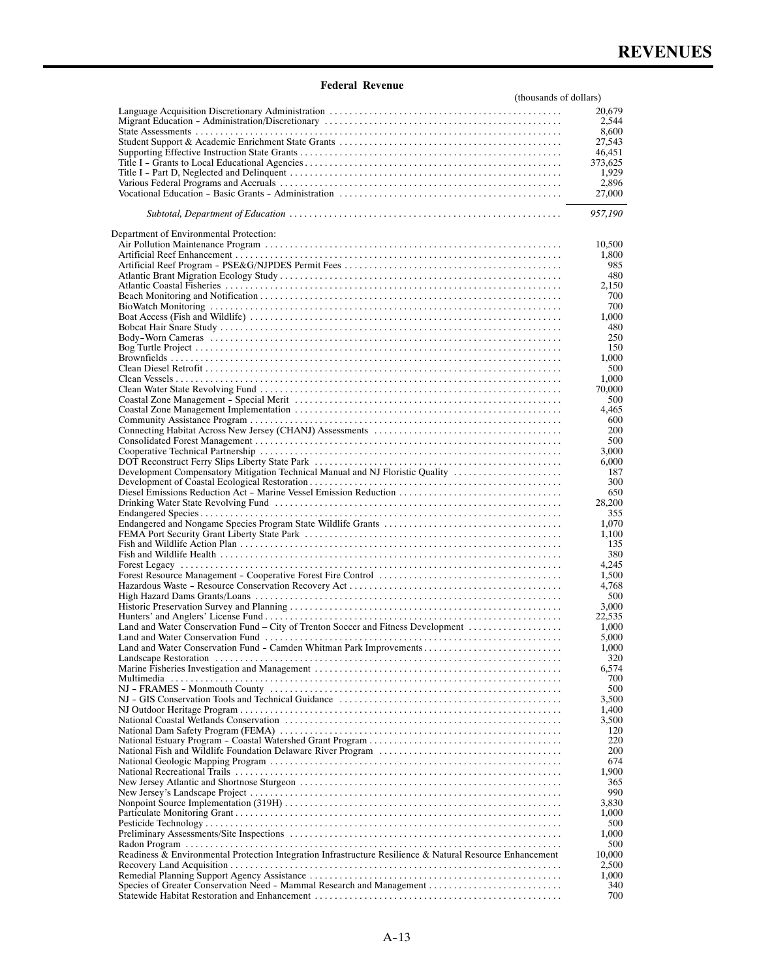| (thousands of dollars)                                                                                    |                  |
|-----------------------------------------------------------------------------------------------------------|------------------|
|                                                                                                           | 20,679           |
|                                                                                                           | 2,544            |
|                                                                                                           | 8,600            |
|                                                                                                           | 27,543           |
|                                                                                                           | 46,451           |
|                                                                                                           | 373,625<br>1,929 |
|                                                                                                           | 2,896            |
|                                                                                                           | 27,000           |
|                                                                                                           |                  |
|                                                                                                           | 957,190          |
|                                                                                                           |                  |
| Department of Environmental Protection:                                                                   |                  |
|                                                                                                           | 10,500           |
|                                                                                                           | 1,800            |
|                                                                                                           | 985              |
|                                                                                                           | 480              |
|                                                                                                           | 2,150            |
|                                                                                                           | 700              |
|                                                                                                           | 700              |
|                                                                                                           | 1,000            |
|                                                                                                           | 480              |
|                                                                                                           | 250              |
|                                                                                                           | 150              |
|                                                                                                           | 1,000            |
|                                                                                                           | 500              |
|                                                                                                           | 1,000            |
|                                                                                                           | 70,000           |
|                                                                                                           | 500              |
|                                                                                                           | 4,465            |
|                                                                                                           | 600              |
|                                                                                                           | 200              |
|                                                                                                           | 500              |
|                                                                                                           | 3,000            |
| Development Compensatory Mitigation Technical Manual and NJ Floristic Quality                             | 6,000            |
|                                                                                                           | 187<br>300       |
| Diesel Emissions Reduction Act - Marine Vessel Emission Reduction                                         | 650              |
|                                                                                                           | 28,200           |
|                                                                                                           | 355              |
|                                                                                                           | 1,070            |
|                                                                                                           | 1,100            |
|                                                                                                           | 135              |
|                                                                                                           | 380              |
|                                                                                                           | 4,245            |
|                                                                                                           | 1.500            |
|                                                                                                           | 4,768            |
|                                                                                                           | 500              |
|                                                                                                           | 3,000            |
|                                                                                                           | 22,535           |
| Land and Water Conservation Fund – City of Trenton Soccer and Fitness Development                         | 1.000            |
|                                                                                                           | 5,000            |
|                                                                                                           | 1,000            |
|                                                                                                           | 320              |
|                                                                                                           | 6,574            |
|                                                                                                           | 700              |
|                                                                                                           | 500              |
|                                                                                                           | 3,500            |
|                                                                                                           | 1,400<br>3,500   |
|                                                                                                           | 120              |
|                                                                                                           | 220              |
|                                                                                                           | 200              |
|                                                                                                           | 674              |
|                                                                                                           | 1,900            |
|                                                                                                           | 365              |
|                                                                                                           | 990              |
|                                                                                                           | 3,830            |
|                                                                                                           | 1,000            |
|                                                                                                           | 500              |
|                                                                                                           | 1,000            |
|                                                                                                           | 500              |
| Readiness & Environmental Protection Integration Infrastructure Resilience & Natural Resource Enhancement | 10,000           |
|                                                                                                           | 2,500            |
|                                                                                                           | 1,000            |
| Species of Greater Conservation Need - Mammal Research and Management                                     | 340              |
|                                                                                                           | 700              |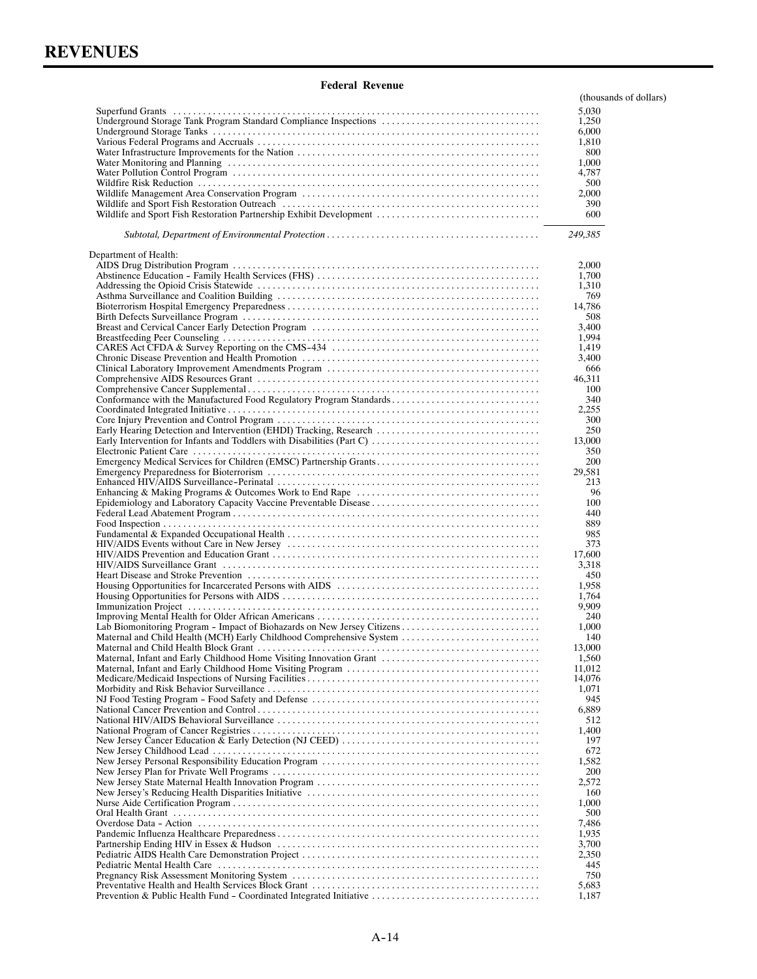| regeral Revellue                                                     |                        |
|----------------------------------------------------------------------|------------------------|
|                                                                      | (thousands of dollars) |
|                                                                      | 5,030                  |
| Underground Storage Tank Program Standard Compliance Inspections     | 1,250                  |
|                                                                      | 6,000                  |
|                                                                      | 1,810                  |
|                                                                      | 800                    |
|                                                                      | 1,000                  |
|                                                                      | 4,787                  |
|                                                                      | 500                    |
|                                                                      | 2,000<br>390           |
| Wildlife and Sport Fish Restoration Partnership Exhibit Development  | 600                    |
|                                                                      |                        |
|                                                                      | 249,385                |
| Department of Health:                                                |                        |
|                                                                      | 2,000                  |
|                                                                      | 1,700                  |
|                                                                      | 1,310                  |
|                                                                      | 769                    |
|                                                                      | 14,786                 |
|                                                                      | 508                    |
|                                                                      | 3,400<br>1,994         |
|                                                                      | 1,419                  |
|                                                                      | 3,400                  |
|                                                                      | 666                    |
|                                                                      | 46,311                 |
|                                                                      | 100                    |
| Conformance with the Manufactured Food Regulatory Program Standards  | 340                    |
|                                                                      | 2,255                  |
|                                                                      | 300                    |
| Early Hearing Detection and Intervention (EHDI) Tracking, Research   | 250                    |
|                                                                      | 13,000                 |
|                                                                      | 350                    |
| Emergency Medical Services for Children (EMSC) Partnership Grants    | 200                    |
|                                                                      | 29,581                 |
|                                                                      | 213                    |
|                                                                      | 96                     |
|                                                                      | 100                    |
|                                                                      | 440                    |
|                                                                      | 889                    |
|                                                                      | 985                    |
|                                                                      | 373                    |
|                                                                      | 17,600                 |
|                                                                      | 3,318                  |
|                                                                      | 450                    |
|                                                                      | 1,958<br>1,764         |
|                                                                      | 9,909                  |
|                                                                      | 240                    |
|                                                                      | 1,000                  |
| Maternal and Child Health (MCH) Early Childhood Comprehensive System | 140                    |
|                                                                      | 13,000                 |
| Maternal, Infant and Early Childhood Home Visiting Innovation Grant  | 1,560                  |
|                                                                      | 11.012                 |
|                                                                      | 14,076                 |
|                                                                      | 1,071                  |
|                                                                      | 945                    |
|                                                                      | 6,889                  |
|                                                                      | 512                    |
|                                                                      | 1,400                  |
|                                                                      | 197                    |
|                                                                      | 672                    |
|                                                                      | 1,582                  |
|                                                                      | 200                    |
|                                                                      | 2,572                  |
|                                                                      | 160                    |
|                                                                      | 1,000<br>500           |
|                                                                      |                        |
|                                                                      | 7,486<br>1,935         |
|                                                                      | 3,700                  |
|                                                                      | 2,350                  |
|                                                                      | 445                    |
|                                                                      | 750                    |
|                                                                      | 5,683                  |
| Prevention & Public Health Fund - Coordinated Integrated Initiative  | 1,187                  |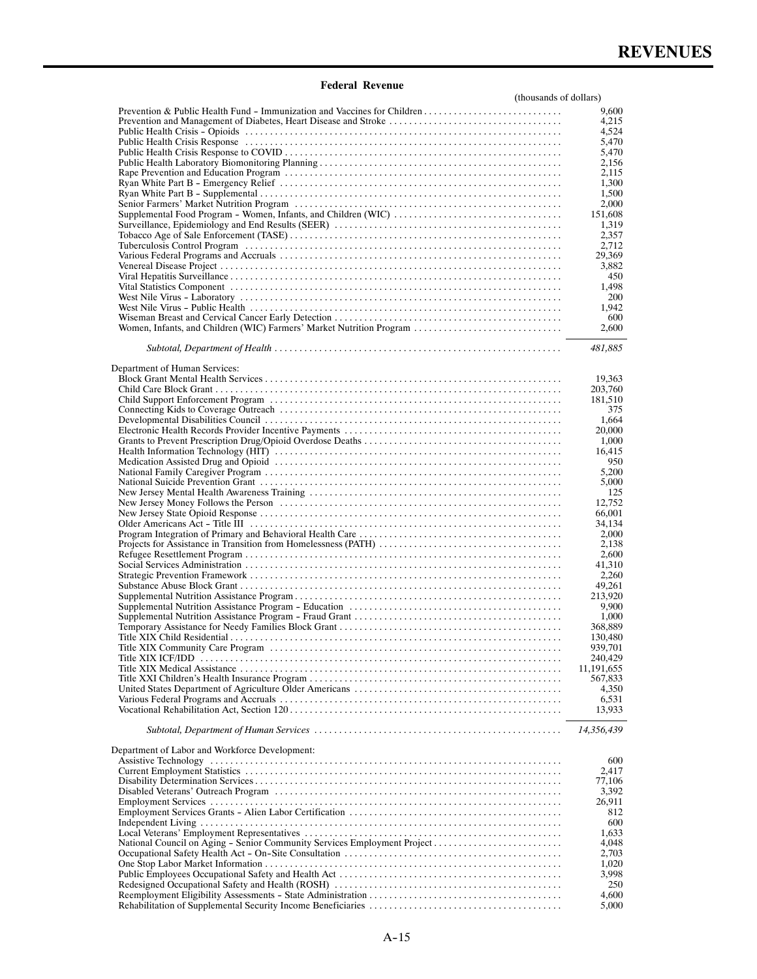| (thousands of dollars)                                                                                                                                                                                                         |                 |
|--------------------------------------------------------------------------------------------------------------------------------------------------------------------------------------------------------------------------------|-----------------|
| Prevention & Public Health Fund - Immunization and Vaccines for Children                                                                                                                                                       | 9,600           |
| Prevention and Management of Diabetes, Heart Disease and Stroke                                                                                                                                                                | 4,215           |
|                                                                                                                                                                                                                                | 4,524           |
|                                                                                                                                                                                                                                | 5,470           |
|                                                                                                                                                                                                                                | 5,470           |
|                                                                                                                                                                                                                                | 2,156           |
|                                                                                                                                                                                                                                | 2,115           |
|                                                                                                                                                                                                                                | 1,300           |
|                                                                                                                                                                                                                                | 1,500<br>2,000  |
|                                                                                                                                                                                                                                | 151,608         |
|                                                                                                                                                                                                                                | 1,319           |
|                                                                                                                                                                                                                                | 2,357           |
|                                                                                                                                                                                                                                | 2,712           |
|                                                                                                                                                                                                                                | 29,369          |
|                                                                                                                                                                                                                                | 3,882           |
|                                                                                                                                                                                                                                | 450             |
|                                                                                                                                                                                                                                | 1,498           |
|                                                                                                                                                                                                                                | 200             |
|                                                                                                                                                                                                                                | 1,942           |
| Women, Infants, and Children (WIC) Farmers' Market Nutrition Program                                                                                                                                                           | 600<br>2,600    |
|                                                                                                                                                                                                                                |                 |
|                                                                                                                                                                                                                                | 481,885         |
|                                                                                                                                                                                                                                |                 |
| Department of Human Services:                                                                                                                                                                                                  |                 |
|                                                                                                                                                                                                                                | 19,363          |
|                                                                                                                                                                                                                                | 203,760         |
|                                                                                                                                                                                                                                | 181,510         |
|                                                                                                                                                                                                                                | 375             |
|                                                                                                                                                                                                                                | 1,664           |
|                                                                                                                                                                                                                                | 20,000          |
|                                                                                                                                                                                                                                | 1,000<br>16,415 |
|                                                                                                                                                                                                                                | 950             |
|                                                                                                                                                                                                                                | 5,200           |
|                                                                                                                                                                                                                                | 5,000           |
|                                                                                                                                                                                                                                | 125             |
|                                                                                                                                                                                                                                | 12,752          |
|                                                                                                                                                                                                                                | 66,001          |
|                                                                                                                                                                                                                                | 34,134          |
|                                                                                                                                                                                                                                | 2,000           |
|                                                                                                                                                                                                                                | 2,138           |
|                                                                                                                                                                                                                                | 2,600           |
|                                                                                                                                                                                                                                | 41,310<br>2,260 |
|                                                                                                                                                                                                                                | 49,261          |
|                                                                                                                                                                                                                                | 213,920         |
|                                                                                                                                                                                                                                | 9,900           |
|                                                                                                                                                                                                                                | 1,000           |
|                                                                                                                                                                                                                                | 368,889         |
|                                                                                                                                                                                                                                | 130,480         |
|                                                                                                                                                                                                                                | 939,701         |
|                                                                                                                                                                                                                                | 240,429         |
|                                                                                                                                                                                                                                | 11, 191, 655    |
|                                                                                                                                                                                                                                | 567,833         |
|                                                                                                                                                                                                                                | 4,350           |
|                                                                                                                                                                                                                                | 6,531<br>13,933 |
|                                                                                                                                                                                                                                |                 |
|                                                                                                                                                                                                                                | 14,356,439      |
|                                                                                                                                                                                                                                |                 |
| Department of Labor and Workforce Development:                                                                                                                                                                                 |                 |
| Assistive Technology (and according to the control of the control of the control of the control of the control of the control of the control of the control of the control of the control of the control of the control of the | 600             |
|                                                                                                                                                                                                                                | 2,417           |
|                                                                                                                                                                                                                                | 77,106          |
|                                                                                                                                                                                                                                | 3,392           |
|                                                                                                                                                                                                                                | 26,911          |
|                                                                                                                                                                                                                                | 812<br>600      |
|                                                                                                                                                                                                                                | 1,633           |
|                                                                                                                                                                                                                                | 4,048           |
|                                                                                                                                                                                                                                | 2,703           |
|                                                                                                                                                                                                                                | 1,020           |
|                                                                                                                                                                                                                                | 3,998           |
|                                                                                                                                                                                                                                | 250             |
|                                                                                                                                                                                                                                | 4,600           |
|                                                                                                                                                                                                                                | 5,000           |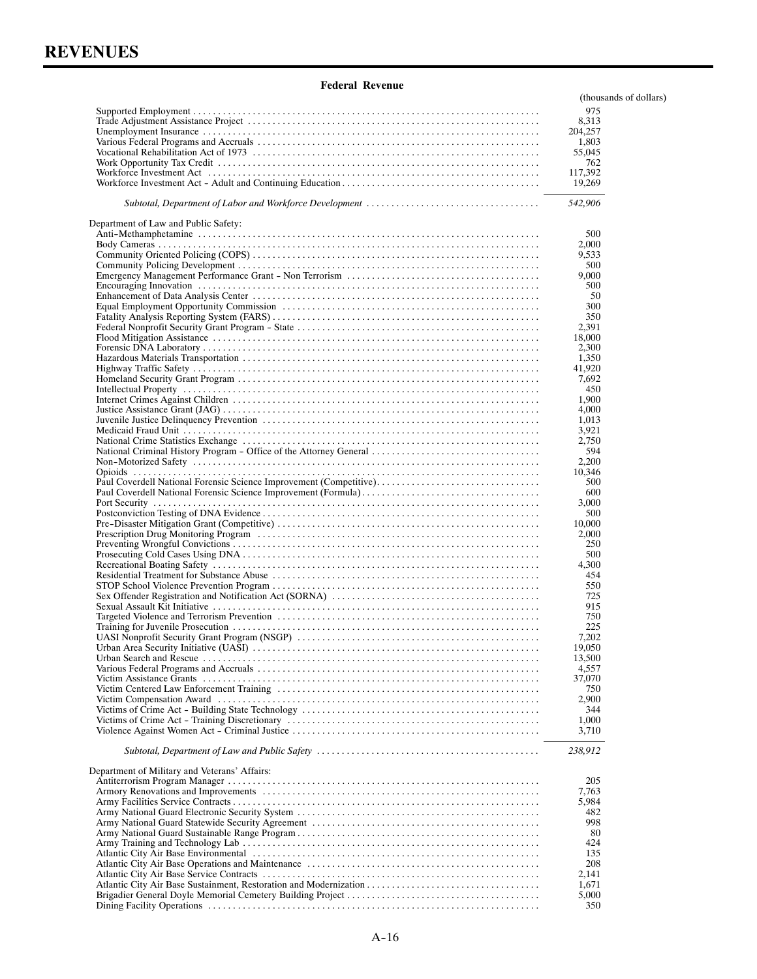|                                                                    | (thousands of dollars) |
|--------------------------------------------------------------------|------------------------|
|                                                                    | 975                    |
|                                                                    | 8,313                  |
|                                                                    | 204,257                |
|                                                                    | 1,803                  |
|                                                                    | 55,045<br>762          |
|                                                                    | 117,392                |
|                                                                    | 19,269                 |
|                                                                    | 542,906                |
| Department of Law and Public Safety:                               |                        |
|                                                                    | 500                    |
|                                                                    | 2,000                  |
|                                                                    | 9,533<br>500           |
|                                                                    | 9,000                  |
|                                                                    | 500                    |
|                                                                    | 50                     |
|                                                                    | 300                    |
|                                                                    | 350                    |
|                                                                    | 2,391                  |
|                                                                    | 18,000                 |
|                                                                    | 2,300                  |
|                                                                    | 1,350                  |
|                                                                    | 41,920<br>7,692        |
|                                                                    | 450                    |
|                                                                    | 1,900                  |
|                                                                    | 4,000                  |
|                                                                    | 1,013                  |
|                                                                    | 3,921                  |
|                                                                    | 2,750                  |
| National Criminal History Program - Office of the Attorney General | 594                    |
|                                                                    | 2,200                  |
|                                                                    | 10,346                 |
| Paul Coverdell National Forensic Science Improvement (Competitive) | 500                    |
|                                                                    | 600<br>3,000           |
|                                                                    | 500                    |
|                                                                    | 10,000                 |
|                                                                    | 2,000                  |
|                                                                    | 250                    |
|                                                                    | 500                    |
|                                                                    | 4,300                  |
|                                                                    | 454                    |
|                                                                    | 550                    |
|                                                                    | 725                    |
|                                                                    | 915<br>750             |
|                                                                    | 225                    |
|                                                                    | 7,202                  |
|                                                                    | 19,050                 |
|                                                                    | 13,500                 |
|                                                                    | 4,557                  |
|                                                                    | 37,070                 |
|                                                                    | 750                    |
|                                                                    | 2,900                  |
|                                                                    | 344                    |
|                                                                    | 1,000                  |
|                                                                    | 3,710                  |
|                                                                    | 238,912                |
| Department of Military and Veterans' Affairs:                      | 205                    |
|                                                                    | 7,763                  |
|                                                                    | 5,984                  |
|                                                                    | 482                    |
|                                                                    | 998                    |
|                                                                    | 80                     |
|                                                                    | 424                    |
|                                                                    | 135                    |
|                                                                    | 208                    |
|                                                                    | 2,141                  |
|                                                                    | 1,671<br>5,000         |
|                                                                    | 350                    |
|                                                                    |                        |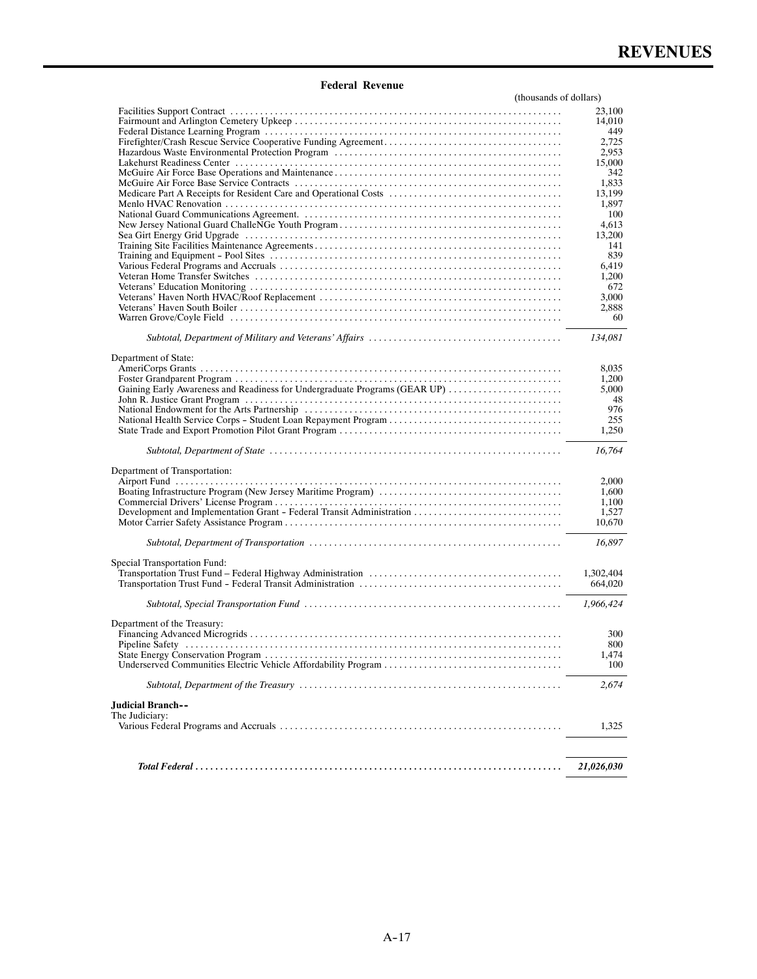| (thousands of dollars)                                                     |                |
|----------------------------------------------------------------------------|----------------|
|                                                                            | 23,100         |
|                                                                            | 14,010         |
|                                                                            | 449            |
|                                                                            | 2,725          |
|                                                                            | 2,953          |
|                                                                            | 15,000         |
|                                                                            | 342<br>1,833   |
|                                                                            | 13,199         |
|                                                                            | 1,897          |
|                                                                            | 100            |
|                                                                            | 4,613          |
|                                                                            | 13,200         |
|                                                                            | 141            |
|                                                                            | 839            |
|                                                                            | 6,419          |
|                                                                            | 1,200          |
|                                                                            | 672            |
|                                                                            | 3,000<br>2,888 |
|                                                                            | 60             |
|                                                                            |                |
|                                                                            | 134,081        |
|                                                                            |                |
| Department of State:                                                       |                |
|                                                                            | 8,035          |
| Gaining Early Awareness and Readiness for Undergraduate Programs (GEAR UP) | 1,200<br>5,000 |
|                                                                            | 48             |
|                                                                            | 976            |
|                                                                            | 255            |
|                                                                            | 1,250          |
|                                                                            | 16,764         |
| Department of Transportation:                                              |                |
|                                                                            | 2,000          |
|                                                                            | 1,600          |
|                                                                            | 1,100          |
|                                                                            | 1,527          |
|                                                                            | 10,670         |
|                                                                            | 16,897         |
|                                                                            |                |
| Special Transportation Fund:                                               |                |
|                                                                            | 1,302,404      |
|                                                                            | 664,020        |
|                                                                            | 1,966,424      |
| Department of the Treasury:                                                |                |
|                                                                            | 300            |
|                                                                            | 800            |
|                                                                            | 1,474          |
|                                                                            | 100            |
|                                                                            | 2,674          |
| Judicial Branch--                                                          |                |
| The Judiciary:                                                             |                |
|                                                                            | 1,325          |
|                                                                            |                |
|                                                                            |                |
|                                                                            | 21,026,030     |

ł,